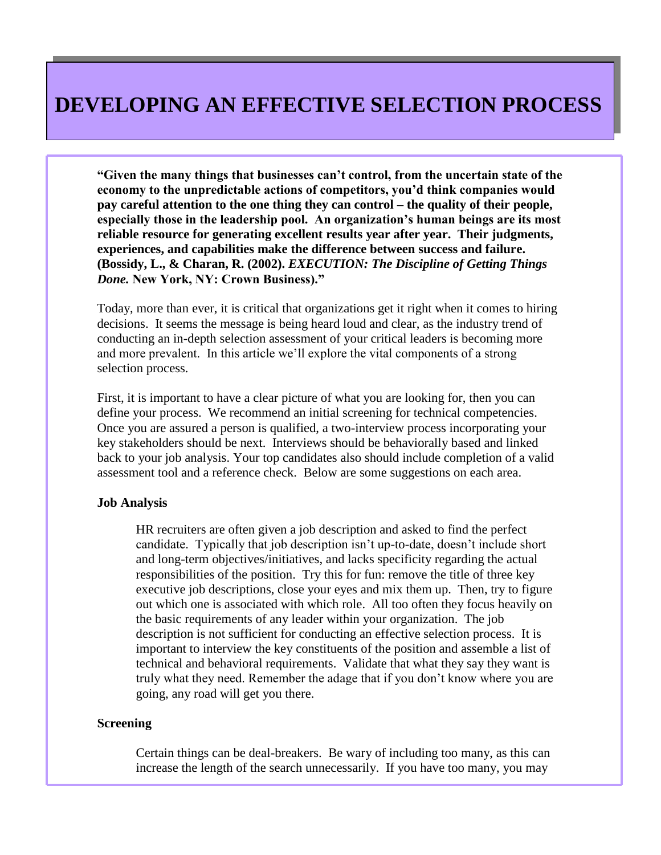**"Given the many things that businesses can't control, from the uncertain state of the economy to the unpredictable actions of competitors, you'd think companies would pay careful attention to the one thing they can control – the quality of their people, especially those in the leadership pool. An organization's human beings are its most reliable resource for generating excellent results year after year. Their judgments, experiences, and capabilities make the difference between success and failure. (Bossidy, L., & Charan, R. (2002).** *EXECUTION: The Discipline of Getting Things Done.* **New York, NY: Crown Business)."** 

Today, more than ever, it is critical that organizations get it right when it comes to hiring decisions. It seems the message is being heard loud and clear, as the industry trend of conducting an in-depth selection assessment of your critical leaders is becoming more and more prevalent. In this article we'll explore the vital components of a strong selection process.

First, it is important to have a clear picture of what you are looking for, then you can define your process. We recommend an initial screening for technical competencies. Once you are assured a person is qualified, a two-interview process incorporating your key stakeholders should be next. Interviews should be behaviorally based and linked back to your job analysis. Your top candidates also should include completion of a valid assessment tool and a reference check. Below are some suggestions on each area.

### **Job Analysis**

HR recruiters are often given a job description and asked to find the perfect candidate. Typically that job description isn't up-to-date, doesn't include short and long-term objectives/initiatives, and lacks specificity regarding the actual responsibilities of the position. Try this for fun: remove the title of three key executive job descriptions, close your eyes and mix them up. Then, try to figure out which one is associated with which role. All too often they focus heavily on the basic requirements of any leader within your organization. The job description is not sufficient for conducting an effective selection process. It is important to interview the key constituents of the position and assemble a list of technical and behavioral requirements. Validate that what they say they want is truly what they need. Remember the adage that if you don't know where you are going, any road will get you there.

## **Screening**

Certain things can be deal-breakers. Be wary of including too many, as this can increase the length of the search unnecessarily. If you have too many, you may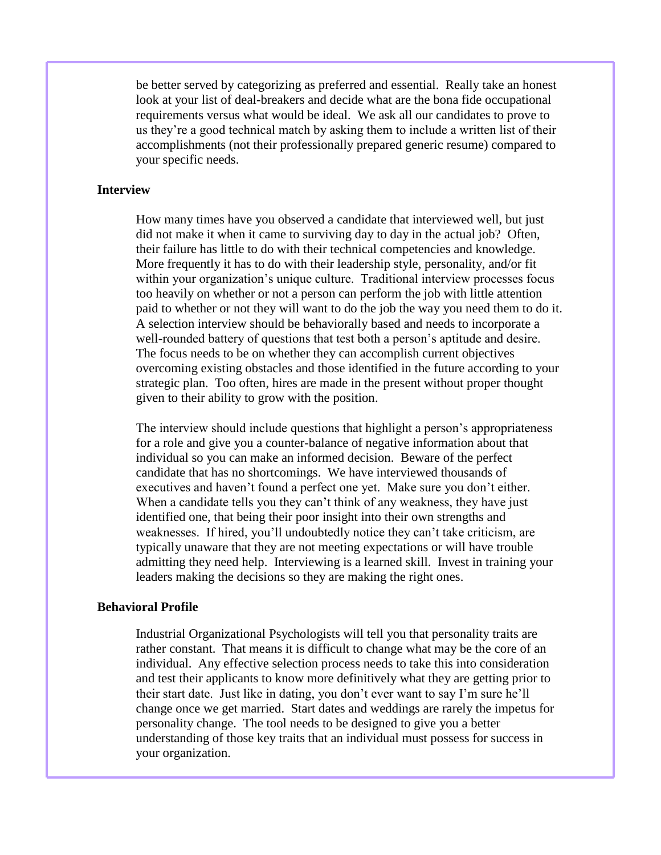be better served by categorizing as preferred and essential. Really take an honest look at your list of deal-breakers and decide what are the bona fide occupational requirements versus what would be ideal. We ask all our candidates to prove to us they're a good technical match by asking them to include a written list of their accomplishments (not their professionally prepared generic resume) compared to your specific needs.

# **Interview**

How many times have you observed a candidate that interviewed well, but just did not make it when it came to surviving day to day in the actual job? Often, their failure has little to do with their technical competencies and knowledge. More frequently it has to do with their leadership style, personality, and/or fit within your organization's unique culture. Traditional interview processes focus too heavily on whether or not a person can perform the job with little attention paid to whether or not they will want to do the job the way you need them to do it. A selection interview should be behaviorally based and needs to incorporate a well-rounded battery of questions that test both a person's aptitude and desire. The focus needs to be on whether they can accomplish current objectives overcoming existing obstacles and those identified in the future according to your strategic plan. Too often, hires are made in the present without proper thought given to their ability to grow with the position.

The interview should include questions that highlight a person's appropriateness for a role and give you a counter-balance of negative information about that individual so you can make an informed decision. Beware of the perfect candidate that has no shortcomings. We have interviewed thousands of executives and haven't found a perfect one yet. Make sure you don't either. When a candidate tells you they can't think of any weakness, they have just identified one, that being their poor insight into their own strengths and weaknesses. If hired, you'll undoubtedly notice they can't take criticism, are typically unaware that they are not meeting expectations or will have trouble admitting they need help. Interviewing is a learned skill. Invest in training your leaders making the decisions so they are making the right ones.

### **Behavioral Profile**

Industrial Organizational Psychologists will tell you that personality traits are rather constant. That means it is difficult to change what may be the core of an individual. Any effective selection process needs to take this into consideration and test their applicants to know more definitively what they are getting prior to their start date. Just like in dating, you don't ever want to say I'm sure he'll change once we get married. Start dates and weddings are rarely the impetus for personality change. The tool needs to be designed to give you a better understanding of those key traits that an individual must possess for success in your organization.